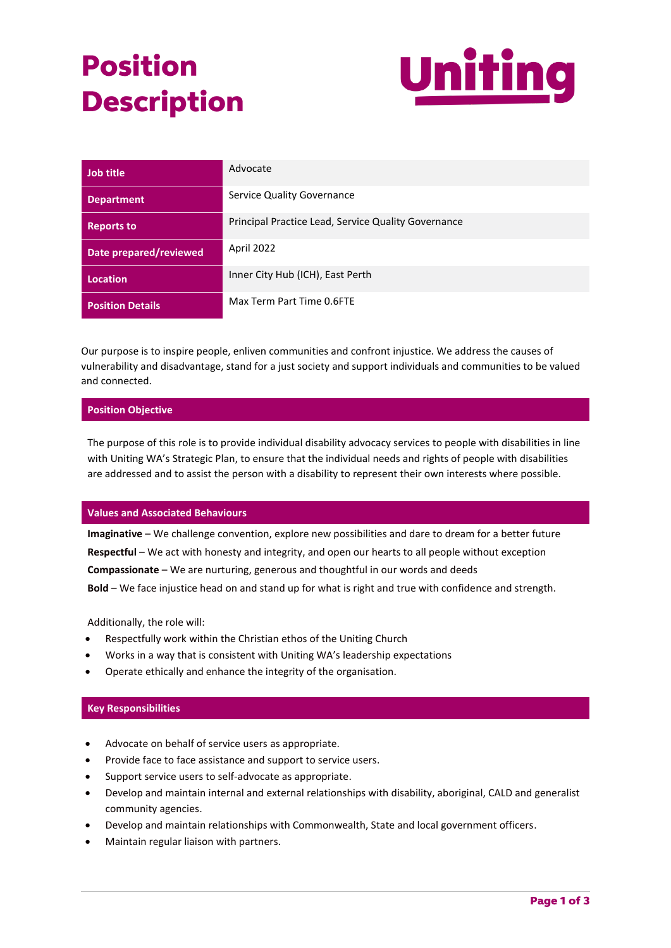# **Position Description**



| Job title               | Advocate                                            |
|-------------------------|-----------------------------------------------------|
| <b>Department</b>       | Service Quality Governance                          |
| <b>Reports to</b>       | Principal Practice Lead, Service Quality Governance |
| Date prepared/reviewed  | April 2022                                          |
| <b>Location</b>         | Inner City Hub (ICH), East Perth                    |
| <b>Position Details</b> | Max Term Part Time 0.6FTE                           |

Our purpose is to inspire people, enliven communities and confront injustice. We address the causes of vulnerability and disadvantage, stand for a just society and support individuals and communities to be valued and connected.

# **Position Objective**

The purpose of this role is to provide individual disability advocacy services to people with disabilities in line with Uniting WA's Strategic Plan, to ensure that the individual needs and rights of people with disabilities are addressed and to assist the person with a disability to represent their own interests where possible.

#### **Values and Associated Behaviours**

**Imaginative** – We challenge convention, explore new possibilities and dare to dream for a better future **Respectful** – We act with honesty and integrity, and open our hearts to all people without exception **Compassionate** – We are nurturing, generous and thoughtful in our words and deeds **Bold** – We face injustice head on and stand up for what is right and true with confidence and strength.

Additionally, the role will:

- Respectfully work within the Christian ethos of the Uniting Church
- Works in a way that is consistent with Uniting WA's leadership expectations
- Operate ethically and enhance the integrity of the organisation.

# **Key Responsibilities**

- Advocate on behalf of service users as appropriate.
- Provide face to face assistance and support to service users.
- Support service users to self-advocate as appropriate.
- Develop and maintain internal and external relationships with disability, aboriginal, CALD and generalist community agencies.
- Develop and maintain relationships with Commonwealth, State and local government officers.
- Maintain regular liaison with partners.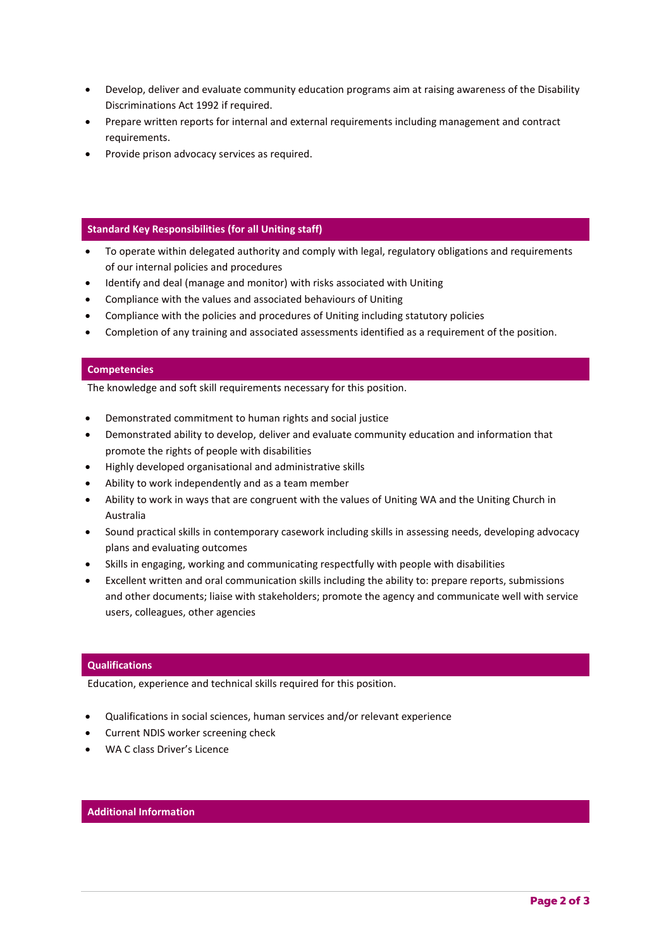- Develop, deliver and evaluate community education programs aim at raising awareness of the Disability Discriminations Act 1992 if required.
- Prepare written reports for internal and external requirements including management and contract requirements.
- Provide prison advocacy services as required.

### **Standard Key Responsibilities (for all Uniting staff)**

- To operate within delegated authority and comply with legal, regulatory obligations and requirements of our internal policies and procedures
- Identify and deal (manage and monitor) with risks associated with Uniting
- Compliance with the values and associated behaviours of Uniting
- Compliance with the policies and procedures of Uniting including statutory policies
- Completion of any training and associated assessments identified as a requirement of the position.

## **Competencies**

The knowledge and soft skill requirements necessary for this position.

- Demonstrated commitment to human rights and social justice
- Demonstrated ability to develop, deliver and evaluate community education and information that promote the rights of people with disabilities
- Highly developed organisational and administrative skills
- Ability to work independently and as a team member
- Ability to work in ways that are congruent with the values of Uniting WA and the Uniting Church in Australia
- Sound practical skills in contemporary casework including skills in assessing needs, developing advocacy plans and evaluating outcomes
- Skills in engaging, working and communicating respectfully with people with disabilities
- Excellent written and oral communication skills including the ability to: prepare reports, submissions and other documents; liaise with stakeholders; promote the agency and communicate well with service users, colleagues, other agencies

#### **Qualifications**

Education, experience and technical skills required for this position.

- Qualifications in social sciences, human services and/or relevant experience
- Current NDIS worker screening check
- WA C class Driver's Licence

# **Additional Information**